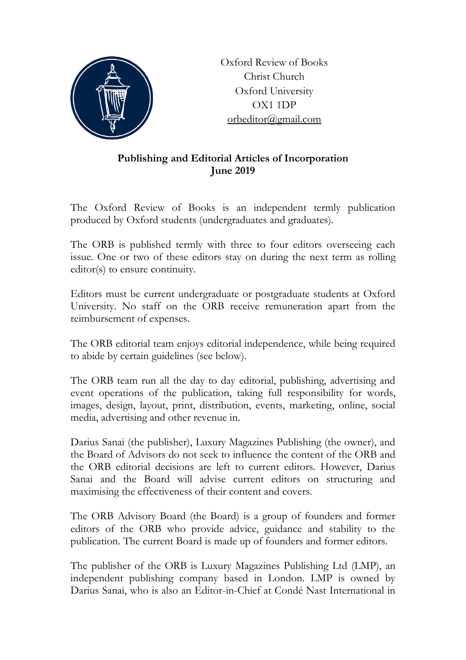

Oxford Review of Books Christ Church Oxford University OX1 1DP [orbeditor@gmail.com](mailto:orbeditor@gmail.com)

## **Publishing and Editorial Articles of Incorporation June 2019**

The Oxford Review of Books is an independent termly publication produced by Oxford students (undergraduates and graduates).

The ORB is published termly with three to four editors overseeing each issue. One or two of these editors stay on during the next term as rolling editor(s) to ensure continuity.

Editors must be current undergraduate or postgraduate students at Oxford University. No staff on the ORB receive remuneration apart from the reimbursement of expenses.

The ORB editorial team enjoys editorial independence, while being required to abide by certain guidelines (see below).

The ORB team run all the day to day editorial, publishing, advertising and event operations of the publication, taking full responsibility for words, images, design, layout, print, distribution, events, marketing, online, social media, advertising and other revenue in.

Darius Sanai (the publisher), Luxury Magazines Publishing (the owner), and the Board of Advisors do not seek to influence the content of the ORB and the ORB editorial decisions are left to current editors. However, Darius Sanai and the Board will advise current editors on structuring and maximising the effectiveness of their content and covers.

The ORB Advisory Board (the Board) is a group of founders and former editors of the ORB who provide advice, guidance and stability to the publication. The current Board is made up of founders and former editors.

The publisher of the ORB is Luxury Magazines Publishing Ltd (LMP), an independent publishing company based in London. LMP is owned by Darius Sanai, who is also an Editor-in-Chief at Condé Nast International in